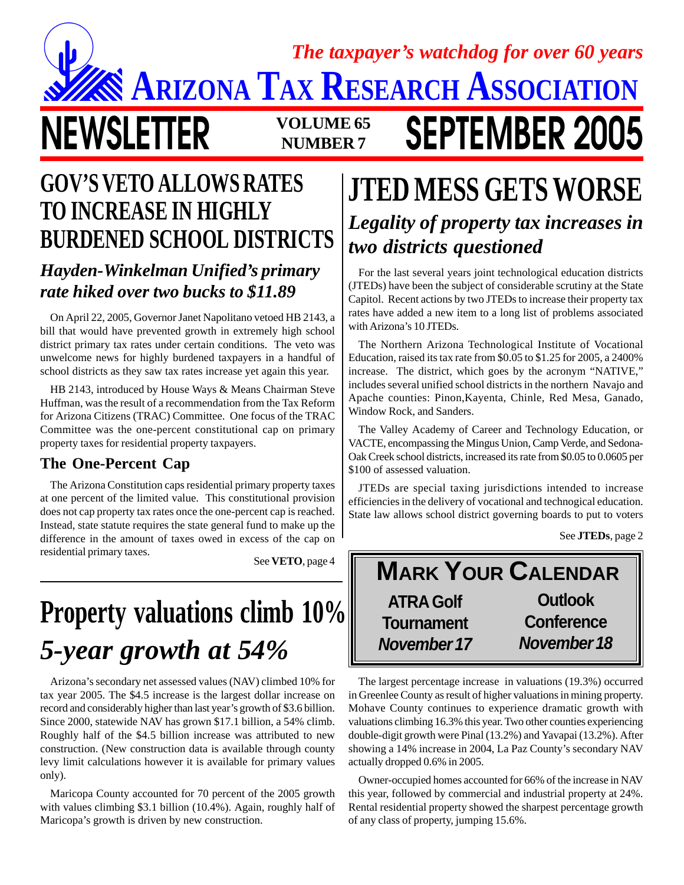### **NEWSLETTER** VOLUME 65 **SEPTEMBER 2005 NUMBER 7 ARIZONA TAX RESEARCH ASSOCIATION** *The taxpayer's watchdog for over 60 years*

# **GOV'S VETO ALLOWS RATES TO INCREASE IN HIGHLY**

### *Hayden-Winkelman Unified's primary rate hiked over two bucks to \$11.89*

On April 22, 2005, Governor Janet Napolitano vetoed HB 2143, a bill that would have prevented growth in extremely high school district primary tax rates under certain conditions. The veto was unwelcome news for highly burdened taxpayers in a handful of school districts as they saw tax rates increase yet again this year.

HB 2143, introduced by House Ways & Means Chairman Steve Huffman, was the result of a recommendation from the Tax Reform for Arizona Citizens (TRAC) Committee. One focus of the TRAC Committee was the one-percent constitutional cap on primary property taxes for residential property taxpayers.

#### **The One-Percent Cap**

The Arizona Constitution caps residential primary property taxes at one percent of the limited value. This constitutional provision does not cap property tax rates once the one-percent cap is reached. Instead, state statute requires the state general fund to make up the difference in the amount of taxes owed in excess of the cap on residential primary taxes.

See **VETO**, page 4

# *5-year growth at 54%* **Property valuations climb 10% ATRA Golf**

Arizona's secondary net assessed values (NAV) climbed 10% for tax year 2005. The \$4.5 increase is the largest dollar increase on record and considerably higher than last year's growth of \$3.6 billion. Since 2000, statewide NAV has grown \$17.1 billion, a 54% climb. Roughly half of the \$4.5 billion increase was attributed to new construction. (New construction data is available through county levy limit calculations however it is available for primary values only).

Maricopa County accounted for 70 percent of the 2005 growth with values climbing \$3.1 billion (10.4%). Again, roughly half of Maricopa's growth is driven by new construction.

### **JTED MESS GETS WORSE BURDENED SCHOOL DISTRICTS** *Legality of property tax increases in two districts questioned*

For the last several years joint technological education districts (JTEDs) have been the subject of considerable scrutiny at the State Capitol. Recent actions by two JTEDs to increase their property tax rates have added a new item to a long list of problems associated with Arizona's 10 JTEDs.

The Northern Arizona Technological Institute of Vocational Education, raised its tax rate from \$0.05 to \$1.25 for 2005, a 2400% increase. The district, which goes by the acronym "NATIVE," includes several unified school districts in the northern Navajo and Apache counties: Pinon,Kayenta, Chinle, Red Mesa, Ganado, Window Rock, and Sanders.

The Valley Academy of Career and Technology Education, or VACTE, encompassing the Mingus Union, Camp Verde, and Sedona-Oak Creek school districts, increased its rate from \$0.05 to 0.0605 per \$100 of assessed valuation.

JTEDs are special taxing jurisdictions intended to increase efficiencies in the delivery of vocational and technogical education. State law allows school district governing boards to put to voters

See **JTEDs**, page 2



The largest percentage increase in valuations (19.3%) occurred in Greenlee County as result of higher valuations in mining property. Mohave County continues to experience dramatic growth with valuations climbing 16.3% this year. Two other counties experiencing double-digit growth were Pinal (13.2%) and Yavapai (13.2%). After showing a 14% increase in 2004, La Paz County's secondary NAV actually dropped 0.6% in 2005.

Owner-occupied homes accounted for 66% of the increase in NAV this year, followed by commercial and industrial property at 24%. Rental residential property showed the sharpest percentage growth of any class of property, jumping 15.6%.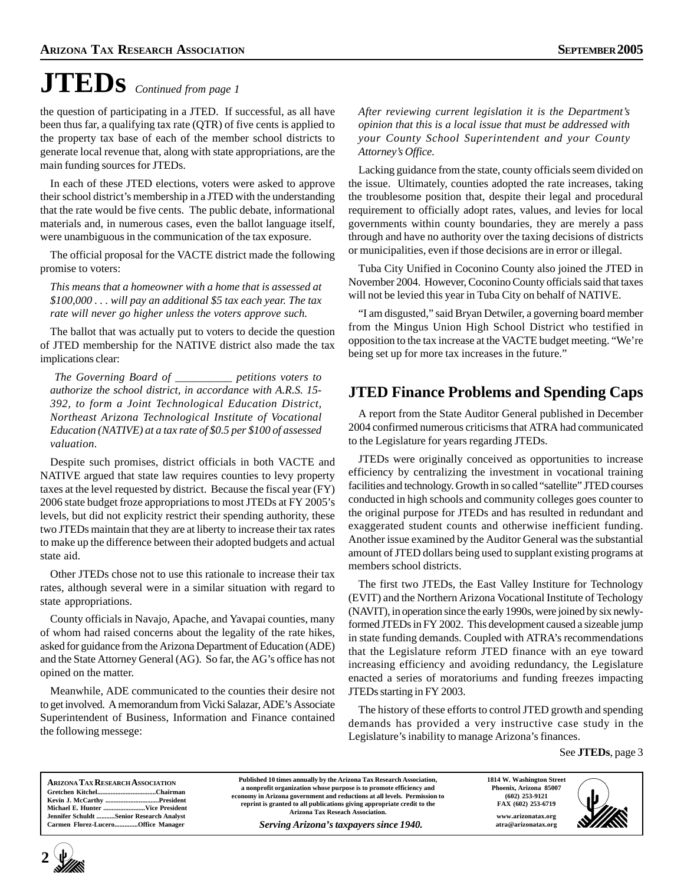# **JTEDs** *Continued from page 1*

the question of participating in a JTED. If successful, as all have been thus far, a qualifying tax rate (QTR) of five cents is applied to the property tax base of each of the member school districts to generate local revenue that, along with state appropriations, are the main funding sources for JTEDs.

In each of these JTED elections, voters were asked to approve their school district's membership in a JTED with the understanding that the rate would be five cents. The public debate, informational materials and, in numerous cases, even the ballot language itself, were unambiguous in the communication of the tax exposure.

The official proposal for the VACTE district made the following promise to voters:

*This means that a homeowner with a home that is assessed at \$100,000 . . . will pay an additional \$5 tax each year. The tax rate will never go higher unless the voters approve such.*

The ballot that was actually put to voters to decide the question of JTED membership for the NATIVE district also made the tax implications clear:

*The Governing Board of \_\_\_\_\_\_\_\_\_\_ petitions voters to authorize the school district, in accordance with A.R.S. 15- 392, to form a Joint Technological Education District, Northeast Arizona Technological Institute of Vocational Education (NATIVE) at a tax rate of \$0.5 per \$100 of assessed valuation.*

Despite such promises, district officials in both VACTE and NATIVE argued that state law requires counties to levy property taxes at the level requested by district. Because the fiscal year (FY) 2006 state budget froze appropriations to most JTEDs at FY 2005's levels, but did not explicity restrict their spending authority, these two JTEDs maintain that they are at liberty to increase their tax rates to make up the difference between their adopted budgets and actual state aid.

Other JTEDs chose not to use this rationale to increase their tax rates, although several were in a similar situation with regard to state appropriations.

County officials in Navajo, Apache, and Yavapai counties, many of whom had raised concerns about the legality of the rate hikes, asked for guidance from the Arizona Department of Education (ADE) and the State Attorney General (AG). So far, the AG's office has not opined on the matter.

Meanwhile, ADE communicated to the counties their desire not to get involved. A memorandum from Vicki Salazar, ADE's Associate Superintendent of Business, Information and Finance contained the following messege:

*After reviewing current legislation it is the Department's opinion that this is a local issue that must be addressed with your County School Superintendent and your County Attorney's Office.*

Lacking guidance from the state, county officials seem divided on the issue. Ultimately, counties adopted the rate increases, taking the troublesome position that, despite their legal and procedural requirement to officially adopt rates, values, and levies for local governments within county boundaries, they are merely a pass through and have no authority over the taxing decisions of districts or municipalities, even if those decisions are in error or illegal.

Tuba City Unified in Coconino County also joined the JTED in November 2004. However, Coconino County officials said that taxes will not be levied this year in Tuba City on behalf of NATIVE.

"I am disgusted," said Bryan Detwiler, a governing board member from the Mingus Union High School District who testified in opposition to the tax increase at the VACTE budget meeting. "We're being set up for more tax increases in the future."

#### **JTED Finance Problems and Spending Caps**

A report from the State Auditor General published in December 2004 confirmed numerous criticisms that ATRA had communicated to the Legislature for years regarding JTEDs.

JTEDs were originally conceived as opportunities to increase efficiency by centralizing the investment in vocational training facilities and technology. Growth in so called "satellite" JTED courses conducted in high schools and community colleges goes counter to the original purpose for JTEDs and has resulted in redundant and exaggerated student counts and otherwise inefficient funding. Another issue examined by the Auditor General was the substantial amount of JTED dollars being used to supplant existing programs at members school districts.

The first two JTEDs, the East Valley Institure for Technology (EVIT) and the Northern Arizona Vocational Institute of Techology (NAVIT), in operation since the early 1990s, were joined by six newlyformed JTEDs in FY 2002. This development caused a sizeable jump in state funding demands. Coupled with ATRA's recommendations that the Legislature reform JTED finance with an eye toward increasing efficiency and avoiding redundancy, the Legislature enacted a series of moratoriums and funding freezes impacting JTEDs starting in FY 2003.

The history of these efforts to control JTED growth and spending demands has provided a very instructive case study in the Legislature's inability to manage Arizona's finances.

See **JTEDs**, page 3

| <b>ARIZONA TAX RESEARCH ASSOCIATION</b>  | Published 10 times annually by the Arizona Tax Research Association,      | 1814 W. Washington Street | $\frac{1}{2}$ |
|------------------------------------------|---------------------------------------------------------------------------|---------------------------|---------------|
|                                          | a nonprofit organization whose purpose is to promote efficiency and       | Phoenix, Arizona 85007    |               |
|                                          | economy in Arizona government and reductions at all levels. Permission to | $(602)$ 253-9121          |               |
|                                          | reprint is granted to all publications giving appropriate credit to the   | FAX (602) 253-6719        |               |
| Jennifer Schuldt Senior Research Analyst | <b>Arizona Tax Reseach Association.</b>                                   | www.arizonatax.org        |               |
| Carmen Florez-LuceroOffice Manager       | Serving Arizona's taxpayers since 1940.                                   | atra@arizonatax.org       |               |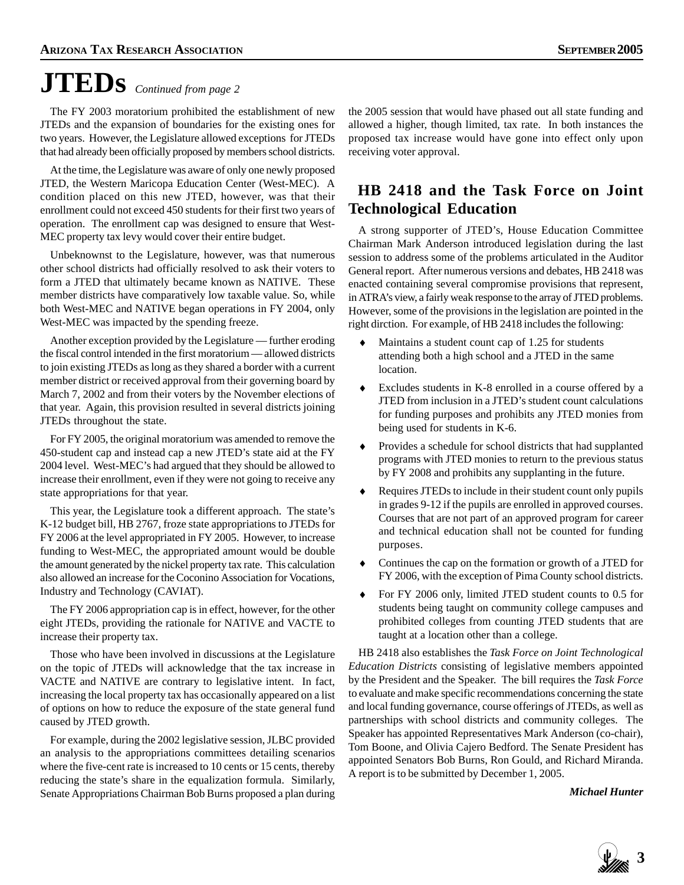# **JTEDs** *Continued from page 2*

The FY 2003 moratorium prohibited the establishment of new JTEDs and the expansion of boundaries for the existing ones for two years. However, the Legislature allowed exceptions for JTEDs that had already been officially proposed by members school districts.

At the time, the Legislature was aware of only one newly proposed JTED, the Western Maricopa Education Center (West-MEC). A condition placed on this new JTED, however, was that their enrollment could not exceed 450 students for their first two years of operation. The enrollment cap was designed to ensure that West-MEC property tax levy would cover their entire budget.

Unbeknownst to the Legislature, however, was that numerous other school districts had officially resolved to ask their voters to form a JTED that ultimately became known as NATIVE. These member districts have comparatively low taxable value. So, while both West-MEC and NATIVE began operations in FY 2004, only West-MEC was impacted by the spending freeze.

Another exception provided by the Legislature — further eroding the fiscal control intended in the first moratorium — allowed districts to join existing JTEDs as long as they shared a border with a current member district or received approval from their governing board by March 7, 2002 and from their voters by the November elections of that year. Again, this provision resulted in several districts joining JTEDs throughout the state.

For FY 2005, the original moratorium was amended to remove the 450-student cap and instead cap a new JTED's state aid at the FY 2004 level. West-MEC's had argued that they should be allowed to increase their enrollment, even if they were not going to receive any state appropriations for that year.

This year, the Legislature took a different approach. The state's K-12 budget bill, HB 2767, froze state appropriations to JTEDs for FY 2006 at the level appropriated in FY 2005. However, to increase funding to West-MEC, the appropriated amount would be double the amount generated by the nickel property tax rate. This calculation also allowed an increase for the Coconino Association for Vocations, Industry and Technology (CAVIAT).

The FY 2006 appropriation cap is in effect, however, for the other eight JTEDs, providing the rationale for NATIVE and VACTE to increase their property tax.

Those who have been involved in discussions at the Legislature on the topic of JTEDs will acknowledge that the tax increase in VACTE and NATIVE are contrary to legislative intent. In fact, increasing the local property tax has occasionally appeared on a list of options on how to reduce the exposure of the state general fund caused by JTED growth.

For example, during the 2002 legislative session, JLBC provided an analysis to the appropriations committees detailing scenarios where the five-cent rate is increased to 10 cents or 15 cents, thereby reducing the state's share in the equalization formula. Similarly, Senate Appropriations Chairman Bob Burns proposed a plan during

the 2005 session that would have phased out all state funding and allowed a higher, though limited, tax rate. In both instances the proposed tax increase would have gone into effect only upon receiving voter approval.

#### **HB 2418 and the Task Force on Joint Technological Education**

A strong supporter of JTED's, House Education Committee Chairman Mark Anderson introduced legislation during the last session to address some of the problems articulated in the Auditor General report. After numerous versions and debates, HB 2418 was enacted containing several compromise provisions that represent, in ATRA's view, a fairly weak response to the array of JTED problems. However, some of the provisions in the legislation are pointed in the right dirction. For example, of HB 2418 includes the following:

- Maintains a student count cap of 1.25 for students attending both a high school and a JTED in the same location.
- ♦ Excludes students in K-8 enrolled in a course offered by a JTED from inclusion in a JTED's student count calculations for funding purposes and prohibits any JTED monies from being used for students in K-6.
- ♦ Provides a schedule for school districts that had supplanted programs with JTED monies to return to the previous status by FY 2008 and prohibits any supplanting in the future.
- ♦ Requires JTEDs to include in their student count only pupils in grades 9-12 if the pupils are enrolled in approved courses. Courses that are not part of an approved program for career and technical education shall not be counted for funding purposes.
- ♦ Continues the cap on the formation or growth of a JTED for FY 2006, with the exception of Pima County school districts.
- ♦ For FY 2006 only, limited JTED student counts to 0.5 for students being taught on community college campuses and prohibited colleges from counting JTED students that are taught at a location other than a college.

HB 2418 also establishes the *Task Force on Joint Technological Education Districts* consisting of legislative members appointed by the President and the Speaker. The bill requires the *Task Force* to evaluate and make specific recommendations concerning the state and local funding governance, course offerings of JTEDs, as well as partnerships with school districts and community colleges. The Speaker has appointed Representatives Mark Anderson (co-chair), Tom Boone, and Olivia Cajero Bedford. The Senate President has appointed Senators Bob Burns, Ron Gould, and Richard Miranda. A report is to be submitted by December 1, 2005.

*Michael Hunter*

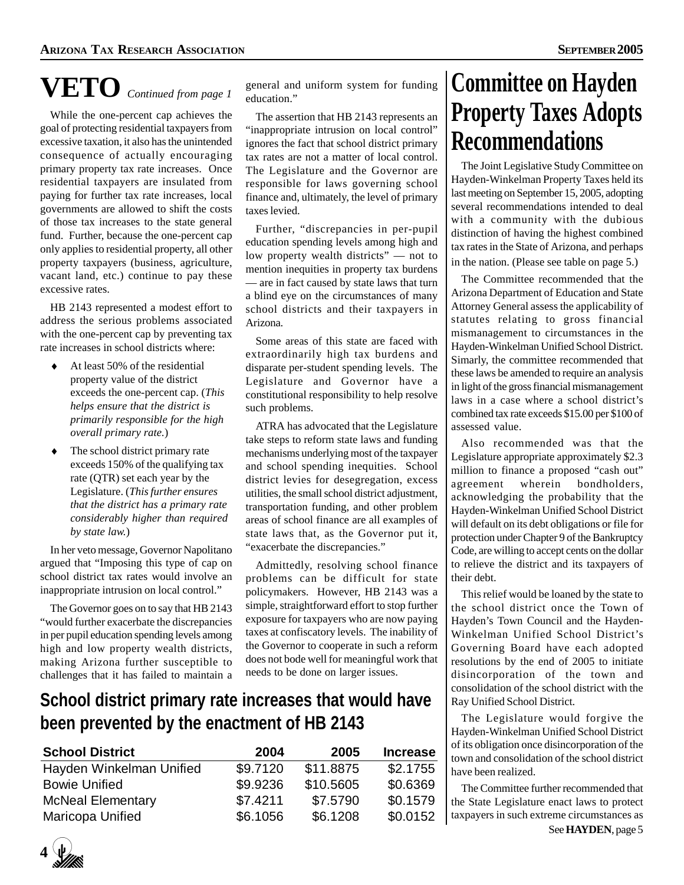# **VETO** *Continued from page 1*

While the one-percent cap achieves the goal of protecting residential taxpayers from excessive taxation, it also has the unintended consequence of actually encouraging primary property tax rate increases. Once residential taxpayers are insulated from paying for further tax rate increases, local governments are allowed to shift the costs of those tax increases to the state general fund. Further, because the one-percent cap only applies to residential property, all other property taxpayers (business, agriculture, vacant land, etc.) continue to pay these excessive rates.

HB 2143 represented a modest effort to address the serious problems associated with the one-percent cap by preventing tax rate increases in school districts where:

- At least 50% of the residential property value of the district exceeds the one-percent cap. (*This helps ensure that the district is primarily responsible for the high overall primary rate.*)
- $\bullet$  The school district primary rate exceeds 150% of the qualifying tax rate (QTR) set each year by the Legislature. (*This further ensures that the district has a primary rate considerably higher than required by state law.*)

In her veto message, Governor Napolitano argued that "Imposing this type of cap on school district tax rates would involve an inappropriate intrusion on local control."

The Governor goes on to say that HB 2143 "would further exacerbate the discrepancies in per pupil education spending levels among high and low property wealth districts, making Arizona further susceptible to challenges that it has failed to maintain a

general and uniform system for funding education."

The assertion that HB 2143 represents an "inappropriate intrusion on local control" ignores the fact that school district primary tax rates are not a matter of local control. The Legislature and the Governor are responsible for laws governing school finance and, ultimately, the level of primary taxes levied.

Further, "discrepancies in per-pupil education spending levels among high and low property wealth districts" — not to mention inequities in property tax burdens — are in fact caused by state laws that turn a blind eye on the circumstances of many school districts and their taxpayers in Arizona.

Some areas of this state are faced with extraordinarily high tax burdens and disparate per-student spending levels. The Legislature and Governor have a constitutional responsibility to help resolve such problems.

ATRA has advocated that the Legislature take steps to reform state laws and funding mechanisms underlying most of the taxpayer and school spending inequities. School district levies for desegregation, excess utilities, the small school district adjustment, transportation funding, and other problem areas of school finance are all examples of state laws that, as the Governor put it, "exacerbate the discrepancies."

Admittedly, resolving school finance problems can be difficult for state policymakers. However, HB 2143 was a simple, straightforward effort to stop further exposure for taxpayers who are now paying taxes at confiscatory levels. The inability of the Governor to cooperate in such a reform does not bode well for meaningful work that needs to be done on larger issues.

### **School district primary rate increases that would have been prevented by the enactment of HB 2143**

| <b>School District</b>   | 2004     | 2005      | <b>Increase</b> |
|--------------------------|----------|-----------|-----------------|
| Hayden Winkelman Unified | \$9.7120 | \$11.8875 | \$2.1755        |
| <b>Bowie Unified</b>     | \$9.9236 | \$10.5605 | \$0.6369        |
| <b>McNeal Elementary</b> | \$7.4211 | \$7,5790  | \$0.1579        |
| Maricopa Unified         | \$6.1056 | \$6.1208  | \$0.0152        |

### **Committee on Hayden Property Taxes Adopts Recommendations**

The Joint Legislative Study Committee on Hayden-Winkelman Property Taxes held its last meeting on September 15, 2005, adopting several recommendations intended to deal with a community with the dubious distinction of having the highest combined tax rates in the State of Arizona, and perhaps in the nation. (Please see table on page 5.)

The Committee recommended that the Arizona Department of Education and State Attorney General assess the applicability of statutes relating to gross financial mismanagement to circumstances in the Hayden-Winkelman Unified School District. Simarly, the committee recommended that these laws be amended to require an analysis in light of the gross financial mismanagement laws in a case where a school district's combined tax rate exceeds \$15.00 per \$100 of assessed value.

Also recommended was that the Legislature appropriate approximately \$2.3 million to finance a proposed "cash out" agreement wherein bondholders, acknowledging the probability that the Hayden-Winkelman Unified School District will default on its debt obligations or file for protection under Chapter 9 of the Bankruptcy Code, are willing to accept cents on the dollar to relieve the district and its taxpayers of their debt.

This relief would be loaned by the state to the school district once the Town of Hayden's Town Council and the Hayden-Winkelman Unified School District's Governing Board have each adopted resolutions by the end of 2005 to initiate disincorporation of the town and consolidation of the school district with the Ray Unified School District.

The Legislature would forgive the Hayden-Winkelman Unified School District of its obligation once disincorporation of the town and consolidation of the school district have been realized.

The Committee further recommended that the State Legislature enact laws to protect taxpayers in such extreme circumstances as See **HAYDEN**, page 5

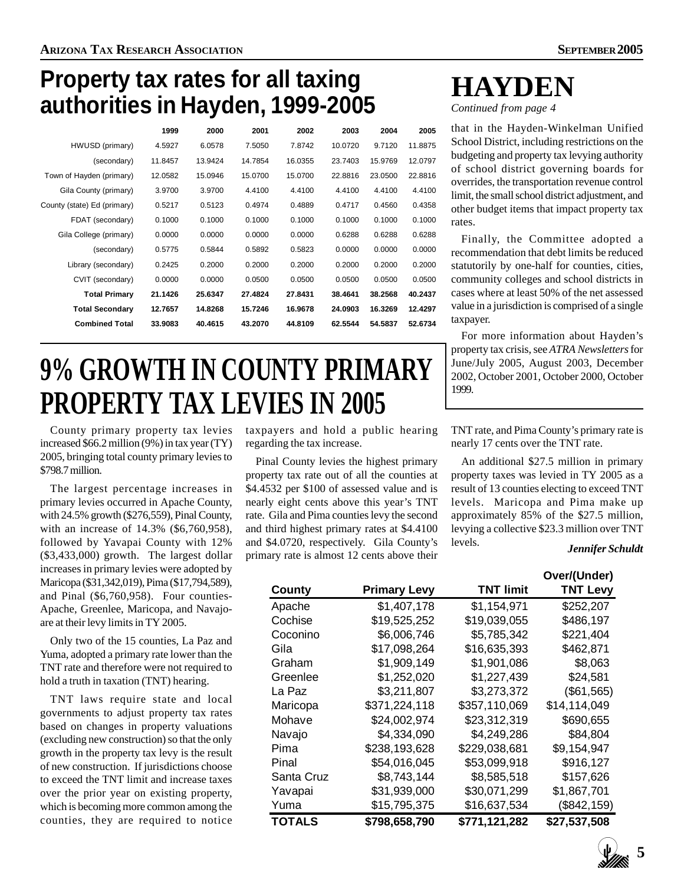### **Property tax rates for all taxing authorities in Hayden, 1999-2005**

|                             | 1999    | 2000    | 2001    | 2002    | 2003    | 2004    | 2005    |
|-----------------------------|---------|---------|---------|---------|---------|---------|---------|
| HWUSD (primary)             | 4.5927  | 6.0578  | 7.5050  | 7.8742  | 10.0720 | 9.7120  | 11.8875 |
| (secondary)                 | 11.8457 | 13.9424 | 14.7854 | 16.0355 | 23.7403 | 15.9769 | 12.0797 |
| Town of Hayden (primary)    | 12.0582 | 15.0946 | 15.0700 | 15.0700 | 22.8816 | 23.0500 | 22.8816 |
| Gila County (primary)       | 3.9700  | 3.9700  | 4.4100  | 4.4100  | 4.4100  | 4.4100  | 4.4100  |
| County (state) Ed (primary) | 0.5217  | 0.5123  | 0.4974  | 0.4889  | 0.4717  | 0.4560  | 0.4358  |
| FDAT (secondary)            | 0.1000  | 0.1000  | 0.1000  | 0.1000  | 0.1000  | 0.1000  | 0.1000  |
| Gila College (primary)      | 0.0000  | 0.0000  | 0.0000  | 0.0000  | 0.6288  | 0.6288  | 0.6288  |
| (secondary)                 | 0.5775  | 0.5844  | 0.5892  | 0.5823  | 0.0000  | 0.0000  | 0.0000  |
| Library (secondary)         | 0.2425  | 0.2000  | 0.2000  | 0.2000  | 0.2000  | 0.2000  | 0.2000  |
| CVIT (secondary)            | 0.0000  | 0.0000  | 0.0500  | 0.0500  | 0.0500  | 0.0500  | 0.0500  |
| <b>Total Primary</b>        | 21.1426 | 25.6347 | 27.4824 | 27.8431 | 38.4641 | 38.2568 | 40.2437 |
| <b>Total Secondary</b>      | 12.7657 | 14.8268 | 15.7246 | 16.9678 | 24.0903 | 16.3269 | 12.4297 |
| <b>Combined Total</b>       | 33.9083 | 40.4615 | 43.2070 | 44.8109 | 62.5544 | 54.5837 | 52.6734 |
|                             |         |         |         |         |         |         |         |

# **9% GROWTH IN COUNTY PRIMARY PROPERTY TAX LEVIES IN 2005**

County primary property tax levies increased \$66.2 million (9%) in tax year (TY) 2005, bringing total county primary levies to \$798.7 million.

The largest percentage increases in primary levies occurred in Apache County, with 24.5% growth (\$276,559), Pinal County, with an increase of 14.3% (\$6,760,958), followed by Yavapai County with 12% (\$3,433,000) growth. The largest dollar increases in primary levies were adopted by Maricopa (\$31,342,019), Pima (\$17,794,589), and Pinal (\$6,760,958). Four counties-Apache, Greenlee, Maricopa, and Navajoare at their levy limits in TY 2005.

Only two of the 15 counties, La Paz and Yuma, adopted a primary rate lower than the TNT rate and therefore were not required to hold a truth in taxation (TNT) hearing.

TNT laws require state and local governments to adjust property tax rates based on changes in property valuations (excluding new construction) so that the only growth in the property tax levy is the result of new construction. If jurisdictions choose to exceed the TNT limit and increase taxes over the prior year on existing property, which is becoming more common among the counties, they are required to notice

taxpayers and hold a public hearing regarding the tax increase.

Pinal County levies the highest primary property tax rate out of all the counties at \$4.4532 per \$100 of assessed value and is nearly eight cents above this year's TNT rate. Gila and Pima counties levy the second and third highest primary rates at \$4.4100 and \$4.0720, respectively. Gila County's primary rate is almost 12 cents above their

**HAYDEN**

*Continued from page 4*

that in the Hayden-Winkelman Unified School District, including restrictions on the budgeting and property tax levying authority of school district governing boards for overrides, the transportation revenue control limit, the small school district adjustment, and other budget items that impact property tax rates.

Finally, the Committee adopted a recommendation that debt limits be reduced statutorily by one-half for counties, cities, community colleges and school districts in cases where at least 50% of the net assessed value in a jurisdiction is comprised of a single taxpayer.

For more information about Hayden's property tax crisis, see *ATRA Newsletters* for June/July 2005, August 2003, December 2002, October 2001, October 2000, October 1999.

TNT rate, and Pima County's primary rate is nearly 17 cents over the TNT rate.

An additional \$27.5 million in primary property taxes was levied in TY 2005 as a result of 13 counties electing to exceed TNT levels. Maricopa and Pima make up approximately 85% of the \$27.5 million, levying a collective \$23.3 million over TNT levels. *Jennifer Schuldt*

|               |                     |                  | Over/(Under)    |
|---------------|---------------------|------------------|-----------------|
| County        | <b>Primary Levy</b> | <b>TNT limit</b> | <b>TNT Levy</b> |
| Apache        | \$1,407,178         | \$1,154,971      | \$252,207       |
| Cochise       | \$19,525,252        | \$19,039,055     | \$486,197       |
| Coconino      | \$6,006,746         | \$5,785,342      | \$221,404       |
| Gila          | \$17,098,264        | \$16,635,393     | \$462,871       |
| Graham        | \$1,909,149         | \$1,901,086      | \$8,063         |
| Greenlee      | \$1,252,020         | \$1,227,439      | \$24,581        |
| La Paz        | \$3,211,807         | \$3,273,372      | (\$61,565)      |
| Maricopa      | \$371,224,118       | \$357,110,069    | \$14,114,049    |
| Mohave        | \$24,002,974        | \$23,312,319     | \$690,655       |
| Navajo        | \$4.334.090         | \$4.249.286      | \$84.804        |
| Pima          | \$238,193,628       | \$229,038,681    | \$9,154,947     |
| Pinal         | \$54,016,045        | \$53,099,918     | \$916,127       |
| Santa Cruz    | \$8,743,144         | \$8,585,518      | \$157,626       |
| Yavapai       | \$31,939,000        | \$30,071,299     | \$1,867,701     |
| Yuma          | \$15,795,375        | \$16,637,534     | (\$842, 159)    |
| <b>TOTALS</b> | \$798,658,790       | \$771,121,282    | \$27,537,508    |